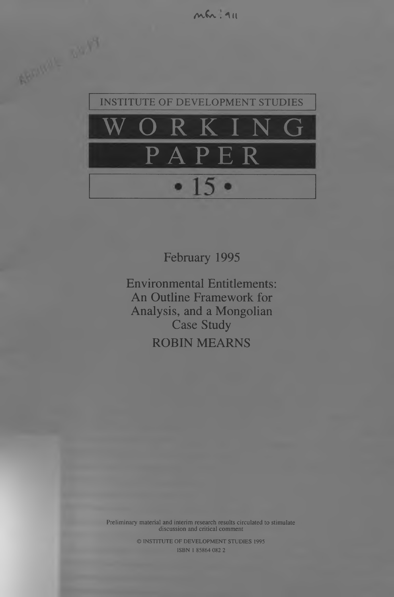$M$ .  $4$ 



February 1995

Environmental Entitlements: An Outline Framework for Analysis, and a Mongolian Case Study ROBIN MEARNS

Preliminary material and interim research results circulated to stimulate discussion and critical comment

> © INSTITUTE OF DEVELOPMENT STUDIES 1995 ISBN 1 85864 082 2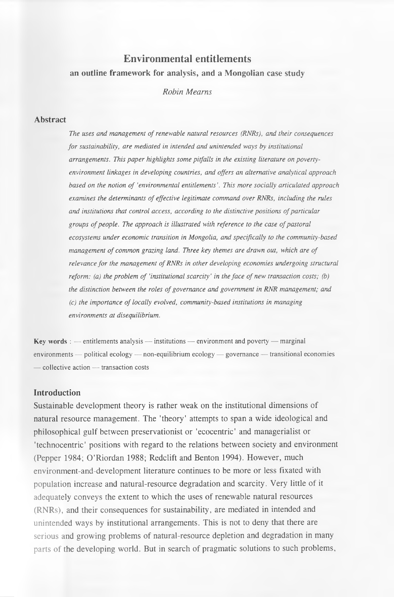# **Environmental entitlements an outline framework for analysis, and a Mongolian case study**

*Robin Mearns*

#### **Abstract**

*The uses and management of renewable natural resources (RNRs), and their consequences for sustainability, are mediated in intended and unintended ways by institutional arrangements. This paper highlights some pitfalls in the existing literature on povertyenvironment linkages in developing countries, and offers an alternative analytical approach based on the notion of 'environmental entitlements'. This more socially articulated approach examines the determinants of effective legitimate command over RNRs, including the rules* and institutions that control access, according to the distinctive positions of particular groups of people. The approach is illustrated with reference to the case of pastoral *ecosystems under economic transition in Mongolia, and specifically to the community-based management of common grazing land. Three key themes are drawn out, which are of relevance for the management of RNRs in other developing economies undergoing structural reform: (a) the problem of 'institutional scarcity' in the face of new transaction costs; (b)* the distinction between the roles of governance and government in RNR management; and *(c) the importance of locally evolved, community-based institutions in managing environments at disequilibrium.*

**Key words :** — entitlements analysis — institutions — environment and poverty — marginal **environm ents — political ecology — non-equilibrium ecology — governance — transitional econom ies — collective action — transaction costs**

### **Introduction**

Sustainable development theory is rather weak on the institutional dimensions of natural resource management. The 'theory' attempts to span a wide ideological and philosophical gulf between preservationist or 'ecocentric' and managerialist or 'technocentric' positions with regard to the relations between society and environment (Pepper 1984; O'Riordan 1988; Redclift and Benton 1994). However, much environment-and-development literature continues to be more or less fixated with population increase and natural-resource degradation and scarcity. Very little of it adequately conveys the extent to which the uses of renewable natural resources (RNRs), and their consequences for sustainability, are mediated in intended and unintended ways by institutional arrangements. This is not to deny that there are serious and growing problems of natural-resource depletion and degradation in many parts of the developing world. But in search of pragmatic solutions to such problems,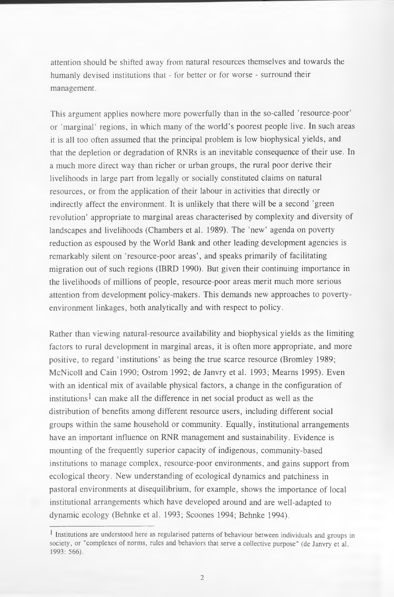attention should he shifted away from natural resources themselves and towards the humanly devised institutions that - for better or for worse - surround their management.

This argument applies nowhere more powerfully than in the so-called 'resource-poor' or 'marginal' regions, in which many of the world's poorest people live. In such areas it is all too often assumed that the principal problem is low biophysical yields, and that the depletion or degradation of RNRs is an inevitable consequence of their use. In a much more direct way than richer or urban groups, the rural poor derive their livelihoods in large part from legally or socially constituted claims on natural resources, or from the application of their labour in activities that directly or indirectly affect the environment. It is unlikely that there will be a second 'green revolution' appropriate to marginal areas characterised by complexity and diversity of landscapes and livelihoods (Chambers et al. 1989). The 'new' agenda on poverty reduction as espoused by the World Bank and other leading development agencies is remarkably silent on 'resource-poor areas', and speaks primarily of facilitating migration out of such regions (IBRD 1990). But given their continuing importance in the livelihoods of millions of people, resource-poor areas merit much more serious attention from development policy-makers. This demands new approaches to poverty environment linkages, both analytically and with respect to policy.

Rather than viewing natural-resource availability and biophysical yields as the limiting factors to rural development in marginal areas, it is often more appropriate, and more positive, to regard 'institutions' as being the true scarce resource (Bromley 1989; McNicoll and Cain 1990; Ostrom 1992; de Janvry et al. 1993; Mearns 1995). Even with an identical mix of available physical factors, a change in the configuration of institutions<sup>1</sup> can make all the difference in net social product as well as the distribution of benefits among different resource users, including different social groups within the same household or community. Equally, institutional arrangements have an important influence on RNR management and sustainability. Evidence is mounting of the frequently superior capacity of indigenous, community-based institutions to manage complex, resource-poor environments, and gains support from ecological theory. New understanding of ecological dynamics and patchiness in pastoral environments at disequilibrium, for example, shows the importance of local institutional arrangements which have developed around and are well-adapted to dynamic ecology (Behnke et al. 1993; Scoones 1994; Behnke 1994).

<sup>&</sup>lt;sup>1</sup> Institutions are understood here as regularised patterns of behaviour between individuals and groups in society, or "complexes of norms, rules and behaviors that serve a collective purpose" (de Janvry et al. **1993: 566).**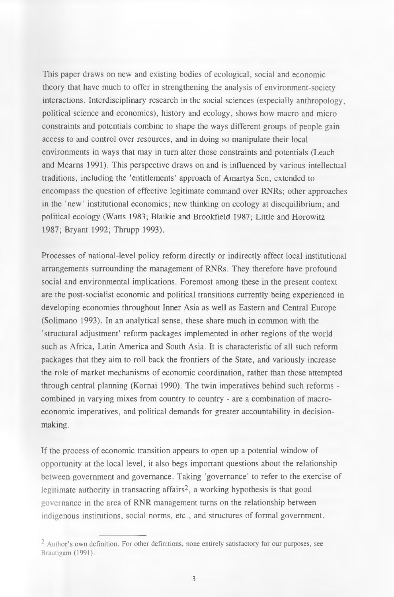This paper draws on new and existing bodies of ecological, social and economic theory that have much to offer in strengthening the analysis of environment-society interactions. Interdisciplinary research in the social sciences (especially anthropology, political science and economics), history and ecology, shows how macro and micro constraints and potentials combine to shape the ways different groups of people gain access to and control over resources, and in doing so manipulate their local environments in ways that may in turn alter those constraints and potentials (Leach and Mearns 1991). This perspective draws on and is influenced by various intellectual traditions, including the 'entitlements' approach of Amartya Sen, extended to encompass the question of effective legitimate command over RNRs; other approaches in the 'new' institutional economics; new thinking on ecology at disequilibrium; and political ecology (Watts 1983; Blaikie and Brookfield 1987; Little and Horowitz 1987; Bryant 1992; Thrupp 1993).

Processes of national-level policy reform directly or indirectly affect local institutional arrangements surrounding the management of RNRs. They therefore have profound social and environmental implications. Foremost among these in the present context are the post-socialist economic and political transitions currently being experienced in developing economies throughout Inner Asia as well as Eastern and Central Europe (Solimano 1993). In an analytical sense, these share much in common with the 'structural adjustment' reform packages implemented in other regions of the world such as Africa, Latin America and South Asia. It is characteristic of all such reform packages that they aim to roll back the frontiers of the State, and variously increase the role of market mechanisms of economic coordination, rather than those attempted through central planning (Kornai 1990). The twin imperatives behind such reforms combined in varying mixes from country to country - are a combination of macroeconomic imperatives, and political demands for greater accountability in decisionmaking.

If the process of economic transition appears to open up a potential window of opportunity at the local level, it also begs important questions about the relationship between government and governance. Taking 'governance' to refer to the exercise of legitimate authority in transacting affairs2, a working hypothesis is that good governance in the area of RNR management turns on the relationship between indigenous institutions, social norms, etc., and structures of formal government.

<sup>&</sup>lt;sup>2</sup> Author's own definition. For other definitions, none entirely satisfactory for our purposes, see **Brautigam (1991).**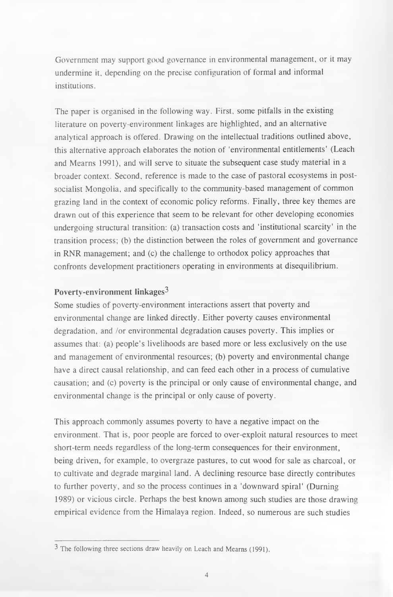Government may support good governance in environmental management, or it may undermine it, depending on the precise configuration of formal and informal institutions.

The paper is organised in the following way. First, some pitfalls in the existing literature on poverty-environment linkages are highlighted, and an alternative analytical approach is offered. Drawing on the intellectual traditions outlined above, this alternative approach elaborates the notion of 'environmental entitlements' (Leach and Mearns 1991), and will serve to situate the subsequent case study material in a broader context. Second, reference is made to the case of pastoral ecosystems in postsocialist Mongolia, and specifically to the community-based management of common grazing land in the context of economic policy reforms. Finally, three key themes are drawn out of this experience that seem to be relevant for other developing economies undergoing structural transition: (a) transaction costs and 'institutional scarcity' in the transition process; (b) the distinction between the roles of government and governance in RNR management; and (c) the challenge to orthodox policy approaches that confronts development practitioners operating in environments at disequilibrium.

# **Poverty-environment linkages^**

Some studies of poverty-environment interactions assert that poverty and environmental change are linked directly. Either poverty causes environmental degradation, and /or environmental degradation causes poverty. This implies or assumes that: (a) people's livelihoods are based more or less exclusively on the use and management of environmental resources; (b) poverty and environmental change have a direct causal relationship, and can feed each other in a process of cumulative causation; and (c) poverty is the principal or only cause of environmental change, and environmental change is the principal or only cause of poverty.

This approach commonly assumes poverty to have a negative impact on the environment. That is, poor people are forced to over-exploit natural resources to meet short-term needs regardless of the long-term consequences for their environment, being driven, for example, to overgraze pastures, to cut wood for sale as charcoal, or to cultivate and degrade marginal land. A declining resource base directly contributes to further poverty, and so the process continues in a 'downward spiral' (Durning 1989) or vicious circle. Perhaps the best known among such studies are those drawing empirical evidence from the Himalaya region. Indeed, so numerous are such studies

<sup>&</sup>lt;sup>3</sup> The following three sections draw heavily on Leach and Mearns (1991).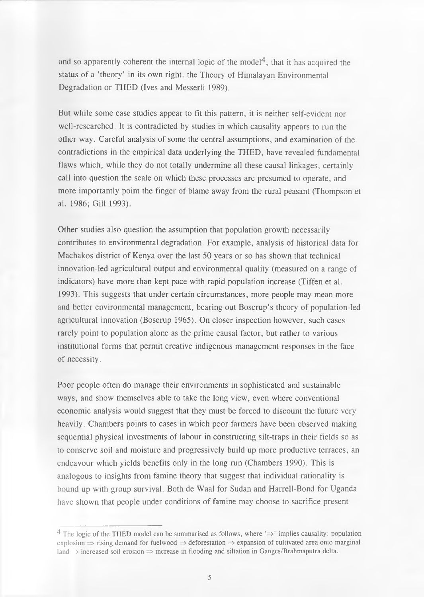and so apparently coherent the internal logic of the model<sup>4</sup>, that it has acquired the status of a 'theory' in its own right: the Theory of Himalayan Environmental Degradation or THED (Ives and Messerli 1989).

But while some case studies appear to fit this pattern, it is neither self-evident nor well-researched. It is contradicted by studies in which causality appears to run the other way. Careful analysis of some the central assumptions, and examination of the contradictions in the empirical data underlying the THED, have revealed fundamental flaws which, while they do not totally undermine all these causal linkages, certainly call into question the scale on which these processes are presumed to operate, and more importantly point the finger of blame away from the rural peasant (Thompson et al. 1986; Gill 1993).

Other studies also question the assumption that population growth necessarily contributes to environmental degradation. For example, analysis of historical data for Machakos district of Kenya over the last 50 years or so has shown that technical innovation-led agricultural output and environmental quality (measured on a range of indicators) have more than kept pace with rapid population increase (Tiffen et al. 1993). This suggests that under certain circumstances, more people may mean more and better environmental management, bearing out Boserup's theory of population-led agricultural innovation (Boserup 1965). On closer inspection however, such cases rarely point to population alone as the prime causal factor, but rather to various institutional forms that permit creative indigenous management responses in the face of necessity.

Poor people often do manage their environments in sophisticated and sustainable ways, and show themselves able to take the long view, even where conventional economic analysis would suggest that they must be forced to discount the future very heavily. Chambers points to cases in which poor farmers have been observed making sequential physical investments of labour in constructing silt-traps in their fields so as to conserve soil and moisture and progressively build up more productive terraces, an endeavour which yields benefits only in the long run (Chambers 1990). This is analogous to insights from famine theory that suggest that individual rationality is bound up with group survival. Both de Waal for Sudan and Harrell-Bond for Uganda have shown that people under conditions of famine may choose to sacrifice present

<sup>&</sup>lt;sup>4</sup> The logic of the THED model can be summarised as follows, where ' $\Rightarrow$ ' implies causality: population  $e$ xplosion  $\Rightarrow$  rising demand for fuelwood  $\Rightarrow$  deforestation  $\Rightarrow$  expansion of cultivated area onto marginal **land => increased soil erosion => increase in flooding and siltation in Ganges/Brahmaputra delta.**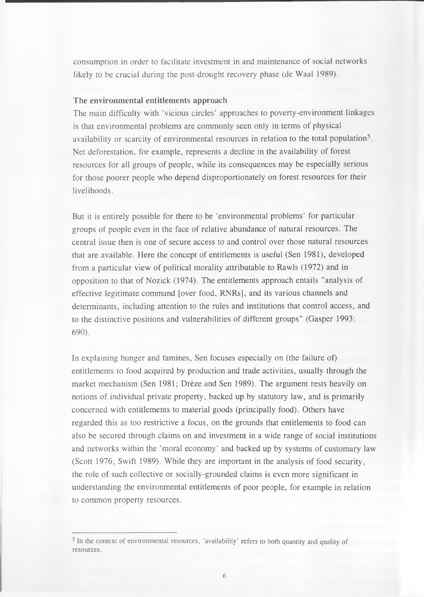consumption in order to facilitate investment in and maintenance of social networks likely to be crucial during the post-drought recovery phase (de Waal 1989).

## **The environmental entitlements approach**

The main difficulty with 'vicious circles' approaches to poverty-environment linkages is that environmental problems are commonly seen only in terms of physical availability or scarcity of environmental resources in relation to the total population<sup>5</sup>. Net deforestation, for example, represents a decline in the availability of forest resources for all groups of people, while its consequences may be especially serious for those poorer people who depend disproportionately on forest resources for their livelihoods.

But it is entirely possible for there to be 'environmental problems' for particular groups of people even in the face of relative abundance of natural resources. The central issue then is one of secure access to and control over those natural resources that are available. Here the concept of entitlements is useful (Sen 1981), developed from a particular view of political morality attributable to Rawls (1972) and in opposition to that of Nozick (1974). The entitlements approach entails "analysis of effective legitimate command [over food, RNRs], and its various channels and determinants, including attention to the rules and institutions that control access, and to the distinctive positions and vulnerabilities of different groups" (Gasper 1993: 690).

In explaining hunger and famines, Sen focuses especially on (the failure of) entitlements to food acquired by production and trade activities, usually through the market mechanism (Sen 1981; Dreze and Sen 1989). The argument rests heavily on notions of individual private property, backed up by statutory law, and is primarily concerned with entitlements to material goods (principally food). Others have regarded this as too restrictive a focus, on the grounds that entitlements to food can also be secured through claims on and investment in a wide range of social institutions and networks within the 'moral economy' and backed up by systems of customary law (Scott 1976; Swift 1989). While they are important in the analysis of food security, the role of such collective or socially-grounded claims is even more significant in understanding the environmental entitlements of poor people, for example in relation to common property resources.

<sup>&</sup>lt;sup>5</sup> In the context of environmental resources, 'availability' refers to both quantity and quality of **resources.**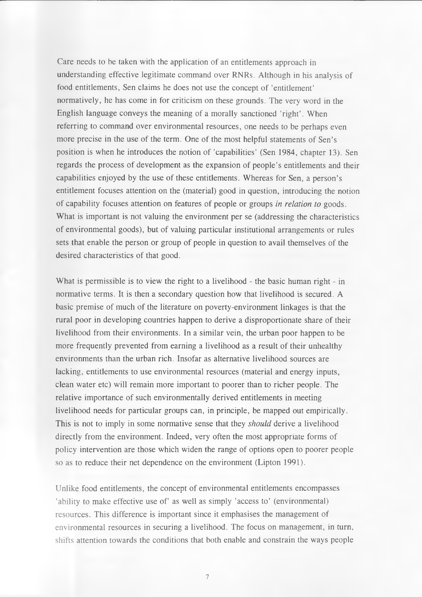Care needs to be taken with the application of an entitlements approach in understanding effective legitimate command over RNRs. Although in his analysis of food entitlements, Sen claims he does not use the concept of 'entitlement' normatively, he has come in for criticism on these grounds. The very word in the English language conveys the meaning of a morally sanctioned 'right'. When referring to command over environmental resources, one needs to be perhaps even more precise in the use of the term. One of the most helpful statements of Sen's position is when he introduces the notion of 'capabilities' (Sen 1984, chapter 13). Sen regards the process of development as the expansion of people's entitlements and their capabilities enjoyed by the use of these entitlements. Whereas for Sen, a person's entitlement focuses attention on the (material) good in question, introducing the notion of capability focuses attention on features of people or groups *in relation to* goods. What is important is not valuing the environment per se (addressing the characteristics of environmental goods), but of valuing particular institutional arrangements or rules sets that enable the person or group of people in question to avail themselves of the desired characteristics of that good.

What is permissible is to view the right to a livelihood - the basic human right - in normative terms. It is then a secondary question how that livelihood is secured. A basic premise of much of the literature on poverty-environment linkages is that the rural poor in developing countries happen to derive a disproportionate share of their livelihood from their environments. In a similar vein, the urban poor happen to be more frequently prevented from earning a livelihood as a result of their unhealthy environments than the urban rich. Insofar as alternative livelihood sources are lacking, entitlements to use environmental resources (material and energy inputs, clean water etc) will remain more important to poorer than to richer people. The relative importance of such environmentally derived entitlements in meeting livelihood needs for particular groups can, in principle, be mapped out empirically. This is not to imply in some normative sense that they *should* derive a livelihood directly from the environment. Indeed, very often the most appropriate forms of policy intervention are those which widen the range of options open to poorer people so as to reduce their net dependence on the environment (Lipton 1991).

Unlike food entitlements, the concept of environmental entitlements encompasses 'ability to make effective use of' as well as simply 'access to' (environmental) resources. This difference is important since it emphasises the management of environmental resources in securing a livelihood. The focus on management, in turn, shifts attention towards the conditions that both enable and constrain the ways people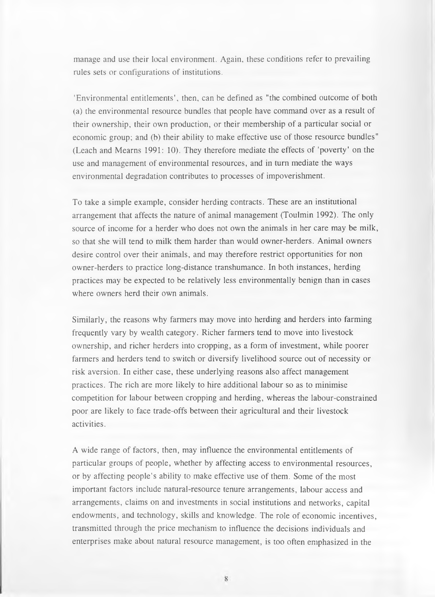manage and use their local environment. Again, these conditions refer to prevailing rules sets or configurations of institutions.

'Environmental entitlements', then, can be defined as "the combined outcome of both (a) the environmental resource bundles that people have command over as a result of their ownership, their own production, or their membership of a particular social or economic group; and (b) their ability to make effective use of those resource bundles" (Leach and Mearns 1991: 10). They therefore mediate the effects of 'poverty' on the use and management of environmental resources, and in turn mediate the ways environmental degradation contributes to processes of impoverishment.

To take a simple example, consider herding contracts. These are an institutional arrangement that affects the nature of animal management (Toulmin 1992). The only source of income for a herder who does not own the animals in her care may be milk, so that she will tend to milk them harder than would owner-herders. Animal owners desire control over their animals, and may therefore restrict opportunities for non owner-herders to practice long-distance transhumance. In both instances, herding practices may be expected to be relatively less environmentally benign than in cases where owners herd their own animals.

Similarly, the reasons why farmers may move into herding and herders into farming frequently vary by wealth category. Richer farmers tend to move into livestock ownership, and richer herders into cropping, as a form of investment, while poorer farmers and herders tend to switch or diversify livelihood source out of necessity or risk aversion. In either case, these underlying reasons also affect management practices. The rich are more likely to hire additional labour so as to minimise competition for labour between cropping and herding, whereas the labour-constrained poor are likely to face trade-offs between their agricultural and their livestock activities.

A wide range of factors, then, may influence the environmental entitlements of particular groups of people, whether by affecting access to environmental resources, or by affecting people's ability to make effective use of them. Some of the most important factors include natural-resource tenure arrangements, labour access and arrangements, claims on and investments in social institutions and networks, capital endowments, and technology, skills and knowledge. The role of economic incentives, transmitted through the price mechanism to influence the decisions individuals and enterprises make about natural resource management, is too often emphasized in the

 $\overline{8}$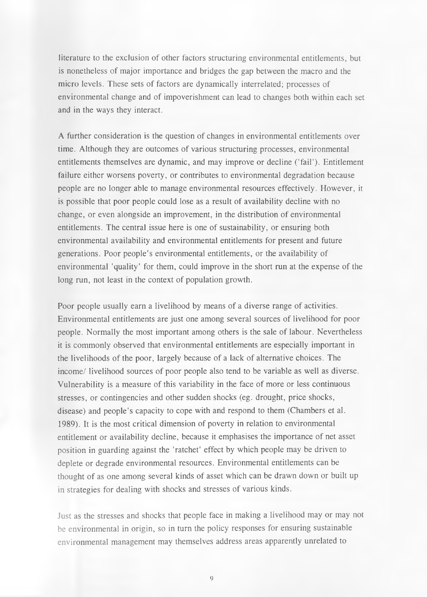literature to the exclusion of other factors structuring environmental entitlements, but is nonetheless of major importance and bridges the gap between the macro and the micro levels. These sets of factors are dynamically interrelated; processes of environmental change and of impoverishment can lead to changes both within each set and in the ways they interact.

A further consideration is the question of changes in environmental entitlements over time. Although they are outcomes of various structuring processes, environmental entitlements themselves are dynamic, and may improve or decline ('fail'). Entitlement failure either worsens poverty, or contributes to environmental degradation because people are no longer able to manage environmental resources effectively. However, it is possible that poor people could lose as a result of availability decline with no change, or even alongside an improvement, in the distribution of environmental entitlements. The central issue here is one of sustainability, or ensuring both environmental availability and environmental entitlements for present and future generations. Poor people's environmental entitlements, or the availability of environmental 'quality' for them, could improve in the short run at the expense of the long run, not least in the context of population growth.

Poor people usually earn a livelihood by means of a diverse range of activities. Environmental entitlements are just one among several sources of livelihood for poor people. Normally the most important among others is the sale of labour. Nevertheless it is commonly observed that environmental entitlements are especially important in the livelihoods of the poor, largely because of a lack of alternative choices. The income/ livelihood sources of poor people also tend to be variable as well as diverse. Vulnerability is a measure of this variability in the face of more or less continuous stresses, or contingencies and other sudden shocks (eg. drought, price shocks, disease) and people's capacity to cope with and respond to them (Chambers et al. 1989). It is the most critical dimension of poverty in relation to environmental entitlement or availability decline, because it emphasises the importance of net asset position in guarding against the 'ratchet' effect by which people may be driven to deplete or degrade environmental resources. Environmental entitlements can be thought of as one among several kinds of asset which can be drawn down or built up in strategies for dealing with shocks and stresses of various kinds.

Just as the stresses and shocks that people face in making a livelihood may or may not be environmental in origin, so in turn the policy responses for ensuring sustainable environmental management may themselves address areas apparently unrelated to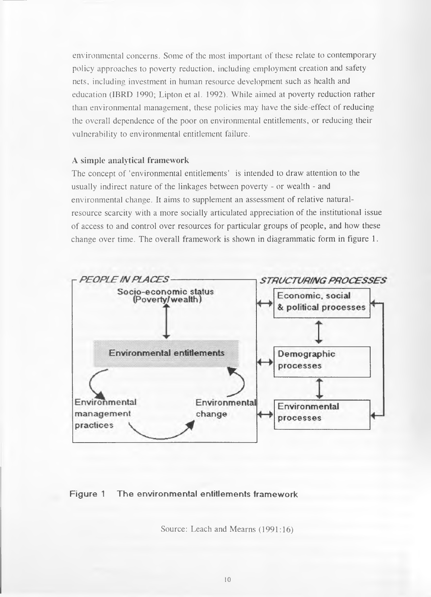environmental concerns. Some of the most important of these relate to contemporary policy approaches to poverty reduction, including employment creation and safety nets, including investment in human resource development such as health and education (IBRD 1990; Lipton et al. 1992). While aimed at poverty reduction rather than environmental management, these policies may have the side-effect of reducing the overall dependence of the poor on environmental entitlements, or reducing their vulnerability to environmental entitlement failure.

## **A simple analytical framework**

The concept of 'environmental entitlements' is intended to draw attention to the usually indirect nature of the linkages between poverty - or wealth - and environmental change. It aims to supplement an assessment of relative naturalresource scarcity with a more socially articulated appreciation of the institutional issue of access to and control over resources for particular groups of people, and how these change over time. The overall framework is shown in diagrammatic form in figure 1.



# **Figure 1 The environmental entitlements framework**

Source: Leach and Mearns (1991:16)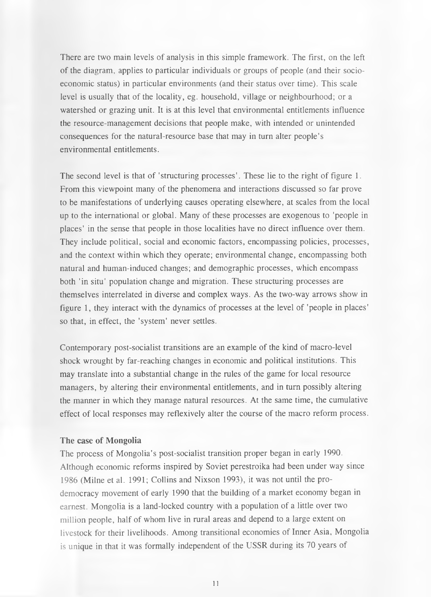There are two main levels of analysis in this simple framework. The first, on the left of the diagram, applies to particular individuals or groups of people (and their socioeconomic status) in particular environments (and their status over time). This scale level is usually that of the locality, eg. household, village or neighbourhood; or a watershed or grazing unit. It is at this level that environmental entitlements influence the resource-management decisions that people make, with intended or unintended consequences for the natural-resource base that may in turn alter people's environmental entitlements.

The second level is that of 'structuring processes'. These lie to the right of figure 1. From this viewpoint many of the phenomena and interactions discussed so far prove to be manifestations of underlying causes operating elsewhere, at scales from the local up to the international or global. Many of these processes are exogenous to 'people in places' in the sense that people in those localities have no direct influence over them. They include political, social and economic factors, encompassing policies, processes, and the context within which they operate; environmental change, encompassing both natural and human-induced changes; and demographic processes, which encompass both 'in situ' population change and migration. These structuring processes are themselves interrelated in diverse and complex ways. As the two-way arrows show in figure 1, they interact with the dynamics of processes at the level of 'people in places' so that, in effect, the 'system' never settles.

Contemporary post-socialist transitions are an example of the kind of macro-level shock wrought by far-reaching changes in economic and political institutions. This may translate into a substantial change in the rules of the game for local resource managers, by altering their environmental entitlements, and in turn possibly altering the manner in which they manage natural resources. At the same time, the cumulative effect of local responses may reflexively alter the course of the macro reform process.

#### **The case of Mongolia**

The process of Mongolia's post-socialist transition proper began in early 1990. Although economic reforms inspired by Soviet perestroika had been under way since 1986 (Milne et al. 1991; Collins and Nixson 1993), it was not until the prodemocracy movement of early 1990 that the building of a market economy began in earnest. Mongolia is a land-locked country with a population of a little over two million people, half of whom live in rural areas and depend to a large extent on livestock for their livelihoods. Among transitional economies of Inner Asia, Mongolia is unique in that it was formally independent of the USSR during its 70 years of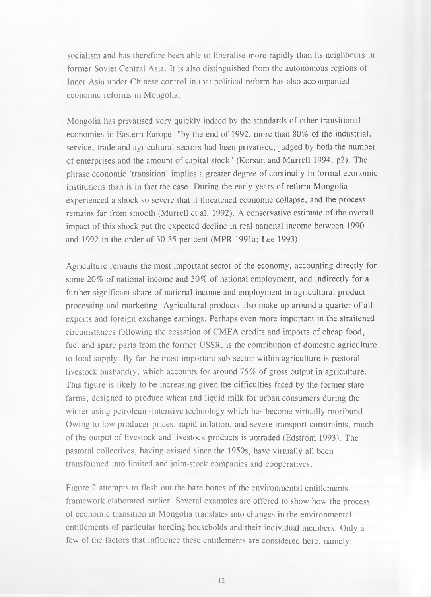socialism and has therefore been able to liberalise more rapidly than its neighbours in former Soviet Central Asia. It is also distinguished from the autonomous regions of Inner Asia under Chinese control in that political reform has also accompanied economic reforms in Mongolia.

Mongolia has privatised very quickly indeed by the standards of other transitional economies in Eastern Europe: "by the end of 1992, more than 80% of the industrial, service, trade and agricultural sectors had been privatised, judged by both the number of enterprises and the amount of capital stock" (Korsun and Murrell 1994, p2). The phrase economic 'transition' implies a greater degree of continuity in formal economic institutions than is in fact the case. During the early years of reform Mongolia experienced a shock so severe that it threatened economic collapse, and the process remains far from smooth (Murrell et al. 1992). A conservative estimate of the overall impact of this shock put the expected decline in real national income between 1990 and 1992 in the order of 30-35 per cent (MPR 1991a; Lee 1993).

Agriculture remains the most important sector of the economy, accounting directly for some 20% of national income and 30% of national employment, and indirectly for a further significant share of national income and employment in agricultural product processing and marketing. Agricultural products also make up around a quarter of all exports and foreign exchange earnings. Perhaps even more important in the straitened circumstances following the cessation of CMEA credits and imports of cheap food, fuel and spare parts from the former USSR, is the contribution of domestic agriculture to food supply. By far the most important sub-sector within agriculture is pastoral livestock husbandry, which accounts for around 75% of gross output in agriculture. This figure is likely to be increasing given the difficulties faced by the former state farms, designed to produce wheat and liquid milk for urban consumers during the winter using petroleum-intensive technology which has become virtually moribund. Owing to low producer prices, rapid inflation, and severe transport constraints, much of the output of livestock and livestock products is untraded (Edstrom 1993). The pastoral collectives, having existed since the 1950s, have virtually all been transformed into limited and joint-stock companies and cooperatives.

Figure 2 attempts to flesh out the bare bones of the environmental entitlements framework elaborated earlier. Several examples are offered to show how the process of economic transition in Mongolia translates into changes in the environmental entitlements of particular herding households and their individual members. Only a few of the factors that influence these entitlements are considered here, namely:

12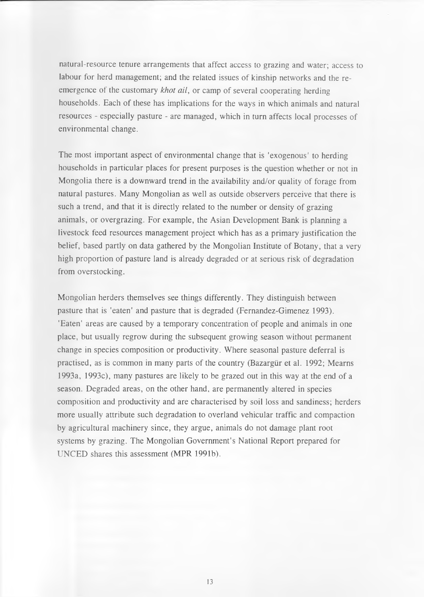natural-resource tenure arrangements that affect access to grazing and water; access to labour for herd management; and the related issues of kinship networks and the reemergence of the customary *khot ail,* or camp of several cooperating herding households. Each of these has implications for the ways in which animals and natural resources - especially pasture - are managed, which in turn affects local processes of environmental change.

The most important aspect of environmental change that is 'exogenous' to herding households in particular places for present purposes is the question whether or not in Mongolia there is a downward trend in the availability and/or quality of forage from natural pastures. Many Mongolian as well as outside observers perceive that there is such a trend, and that it is directly related to the number or density of grazing animals, or overgrazing. For example, the Asian Development Bank is planning a livestock feed resources management project which has as a primary justification the belief, based partly on data gathered by the Mongolian Institute of Botany, that a very high proportion of pasture land is already degraded or at serious risk of degradation from overstocking.

Mongolian herders themselves see things differently. They distinguish between pasture that is 'eaten' and pasture that is degraded (Fernandez-Gimenez 1993). 'Eaten' areas are caused by a temporary concentration of people and animals in one place, but usually regrow during the subsequent growing season without permanent change in species composition or productivity. Where seasonal pasture deferral is practised, as is common in many parts of the country (Bazargiir et al. 1992; Mearns 1993a, 1993c), many pastures are likely to be grazed out in this way at the end of a season. Degraded areas, on the other hand, are permanently altered in species composition and productivity and are characterised by soil loss and sandiness; herders more usually attribute such degradation to overland vehicular traffic and compaction by agricultural machinery since, they argue, animals do not damage plant root systems by grazing. The Mongolian Government's National Report prepared for UNCED shares this assessment (MPR 1991b).

13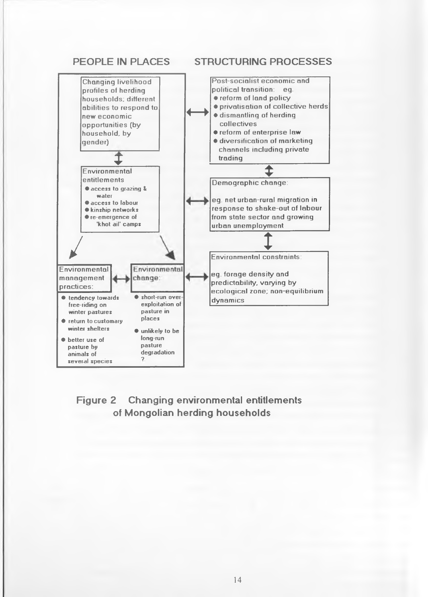

Figure 2 Changing environmental entitlements of Mongolian herding households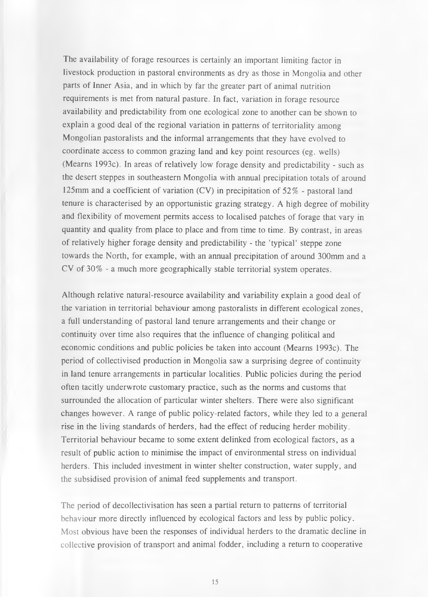The availability of forage resources is certainly an important limiting factor in livestock production in pastoral environments as dry as those in Mongolia and other parts of Inner Asia, and in which by far the greater part of animal nutrition requirements is met from natural pasture. In fact, variation in forage resource availability and predictability from one ecological zone to another can be shown to explain a good deal of the regional variation in patterns of territoriality among Mongolian pastoralists and the informal arrangements that they have evolved to coordinate access to common grazing land and key point resources (eg. wells) (Mearns 1993c). In areas of relatively low forage density and predictability - such as the desert steppes in southeastern Mongolia with annual precipitation totals of around 125mm and a coefficient of variation (CV) in precipitation of 52% - pastoral land tenure is characterised by an opportunistic grazing strategy. A high degree of mobility and flexibility of movement permits access to localised patches of forage that vary in quantity and quality from place to place and from time to time. By contrast, in areas of relatively higher forage density and predictability - the 'typical' steppe zone towards the North, for example, with an annual precipitation of around 300mm and a CV of 30% - a much more geographically stable territorial system operates.

Although relative natural-resource availability and variability explain a good deal of the variation in territorial behaviour among pastoralists in different ecological zones, a full understanding of pastoral land tenure arrangements and their change or continuity over time also requires that the influence of changing political and economic conditions and public policies be taken into account (Mearns 1993c). The period of collectivised production in Mongolia saw a surprising degree of continuity in land tenure arrangements in particular localities. Public policies during the period often tacitly underwrote customary practice, such as the norms and customs that surrounded the allocation of particular winter shelters. There were also significant changes however. A range of public policy-related factors, while they led to a general rise in the living standards of herders, had the effect of reducing herder mobility. Territorial behaviour became to some extent delinked from ecological factors, as a result of public action to minimise the impact of environmental stress on individual herders. This included investment in winter shelter construction, water supply, and the subsidised provision of animal feed supplements and transport.

The period of decollectivisation has seen a partial return to patterns of territorial behaviour more directly influenced by ecological factors and less by public policy. Most obvious have been the responses of individual herders to the dramatic decline in collective provision of transport and animal fodder, including a return to cooperative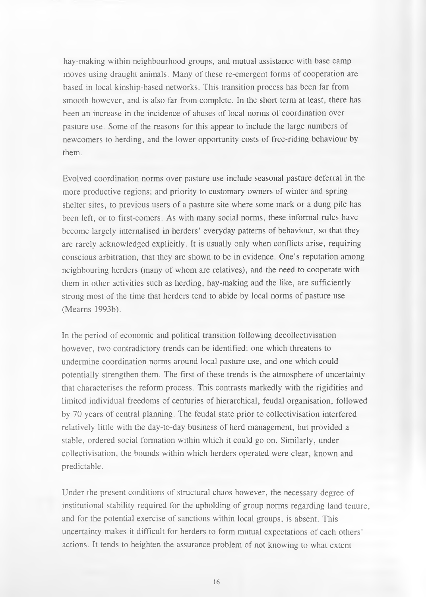hay-making within neighbourhood groups, and mutual assistance with base camp moves using draught animals. Many of these re-emergent forms of cooperation are based in local kinship-based networks. This transition process has been far from smooth however, and is also far from complete. In the short term at least, there has been an increase in the incidence of abuses of local norms of coordination over pasture use. Some of the reasons for this appear to include the large numbers of newcomers to herding, and the lower opportunity costs of free-riding behaviour by them.

Evolved coordination norms over pasture use include seasonal pasture deferral in the more productive regions; and priority to customary owners of winter and spring shelter sites, to previous users of a pasture site where some mark or a dung pile has been left, or to first-comers. As with many social norms, these informal rules have become largely internalised in herders' everyday patterns of behaviour, so that they are rarely acknowledged explicitly. It is usually only when conflicts arise, requiring conscious arbitration, that they are shown to be in evidence. One's reputation among neighbouring herders (many of whom are relatives), and the need to cooperate with them in other activities such as herding, hay-making and the like, are sufficiently strong most of the time that herders tend to abide by local norms of pasture use (Mearns 1993b).

In the period of economic and political transition following decollectivisation however, two contradictory trends can be identified: one which threatens to undermine coordination norms around local pasture use, and one which could potentially strengthen them. The first of these trends is the atmosphere of uncertainty that characterises the reform process. This contrasts markedly with the rigidities and limited individual freedoms of centuries of hierarchical, feudal organisation, followed by 70 years of central planning. The feudal state prior to collectivisation interfered relatively little with the day-to-day business of herd management, but provided a stable, ordered social formation within which it could go on. Similarly, under collectivisation, the bounds within which herders operated were clear, known and predictable.

Under the present conditions of structural chaos however, the necessary degree of institutional stability required for the upholding of group norms regarding land tenure, and for the potential exercise of sanctions within local groups, is absent. This uncertainty makes it difficult for herders to form mutual expectations of each others' actions. It tends to heighten the assurance problem of not knowing to what extent

16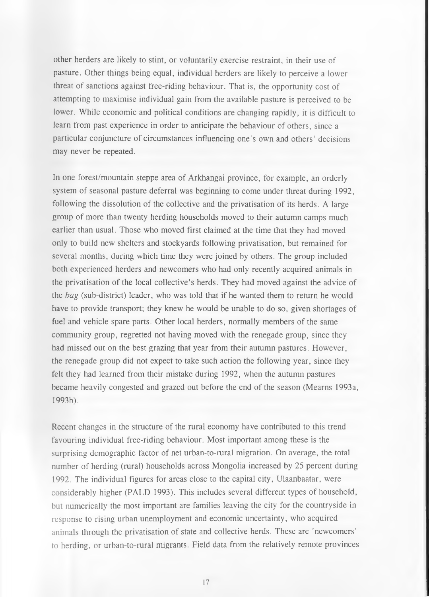other herders are likely to stint, or voluntarily exercise restraint, in their use of pasture. Other things being equal, individual herders are likely to perceive a lower threat of sanctions against free-riding behaviour. That is, the opportunity cost of attempting to maximise individual gain from the available pasture is perceived to be lower. While economic and political conditions are changing rapidly, it is difficult to learn from past experience in order to anticipate the behaviour of others, since a particular conjuncture of circumstances influencing one's own and others' decisions may never be repeated.

In one forest/mountain steppe area of Arkhangai province, for example, an orderly system of seasonal pasture deferral was beginning to come under threat during 1992, following the dissolution of the collective and the privatisation of its herds. A large group of more than twenty herding households moved to their autumn camps much earlier than usual. Those who moved first claimed at the time that they had moved only to build new shelters and stockyards following privatisation, but remained for several months, during which time they were joined by others. The group included both experienced herders and newcomers who had only recently acquired animals in the privatisation of the local collective's herds. They had moved against the advice of the *bag* (sub-district) leader, who was told that if he wanted them to return he would have to provide transport; they knew he would be unable to do so, given shortages of fuel and vehicle spare parts. Other local herders, normally members of the same community group, regretted not having moved with the renegade group, since they had missed out on the best grazing that year from their autumn pastures. However, the renegade group did not expect to take such action the following year, since they felt they had learned from their mistake during 1992, when the autumn pastures became heavily congested and grazed out before the end of the season (Mearns 1993a, 1993b).

Recent changes in the structure of the rural economy have contributed to this trend favouring individual free-riding behaviour. Most important among these is the surprising demographic factor of net urban-to-rural migration. On average, the total number of herding (rural) households across Mongolia increased by 25 percent during 1992. The individual figures for areas close to the capital city, Ulaanbaatar, were considerably higher (PALD 1993). This includes several different types of household, but numerically the most important are families leaving the city for the countryside in response to rising urban unemployment and economic uncertainty, who acquired animals through the privatisation of state and collective herds. These are 'newcomers' to herding, or urban-to-rural migrants. Field data from the relatively remote provinces

17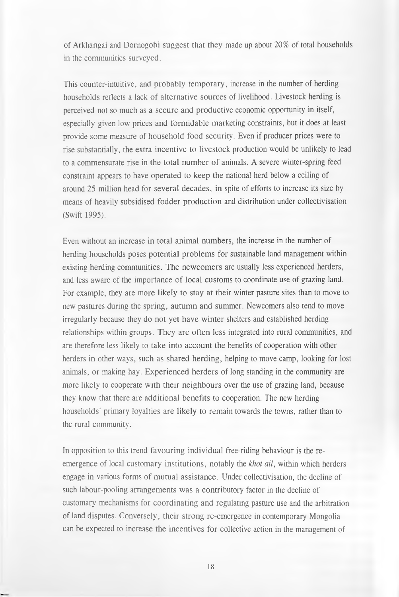of Arkhangai and Dornogobi suggest that they made up about 20% of total households in the communities surveyed.

This counter-intuitive, and probably temporary, increase in the number of herding households reflects a lack of alternative sources of livelihood. Livestock herding is perceived not so much as a secure and productive economic opportunity in itself, especially given low prices and formidable marketing constraints, but it does at least provide some measure of household food security. Even if producer prices were to rise substantially, the extra incentive to livestock production would be unlikely to lead to a commensurate rise in the total number of animals. A severe winter-spring feed constraint appears to have operated to keep the national herd below a ceiling of around 25 million head for several decades, in spite of efforts to increase its size by means of heavily subsidised fodder production and distribution under collectivisation (Swift 1995).

Even without an increase in total animal numbers, the increase in the number of herding households poses potential problems for sustainable land management within existing herding communities. The newcomers are usually less experienced herders, and less aware of the importance of local customs to coordinate use of grazing land. For example, they are more likely to stay at their winter pasture sites than to move to new pastures during the spring, autumn and summer. Newcomers also tend to move irregularly because they do not yet have winter shelters and established herding relationships within groups. They are often less integrated into rural communities, and are therefore less likely to take into account the benefits of cooperation with other herders in other ways, such as shared herding, helping to move camp, looking for lost animals, or making hay. Experienced herders of long standing in the community are more likely to cooperate with their neighbours over the use of grazing land, because they know that there are additional benefits to cooperation. The new herding households' primary loyalties are likely to remain towards the towns, rather than to the rural community.

In opposition to this trend favouring individual free-riding behaviour is the reemergence of local customary institutions, notably the *khot ail,* within which herders engage in various forms of mutual assistance. Under collectivisation, the decline of such labour-pooling arrangements was a contributory factor in the decline of customary mechanisms for coordinating and regulating pasture use and the arbitration of land disputes. Conversely, their strong re-emergence in contemporary Mongolia can be expected to increase the incentives for collective action in the management of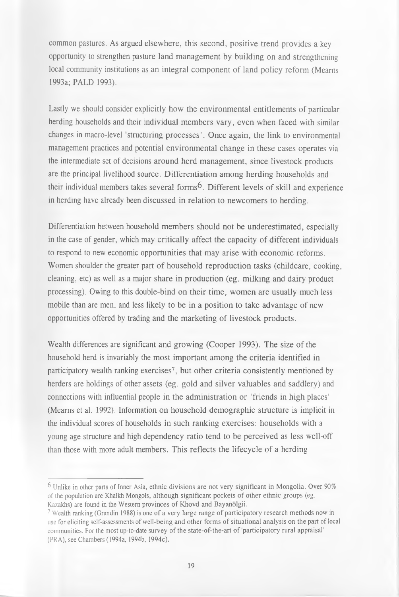common pastures. As argued elsewhere, this second, positive trend provides a key opportunity to strengthen pasture land management by building on and strengthening local community institutions as an integral component of land policy reform (Mearns 1993a; PALD 1993).

Lastly we should consider explicitly how the environmental entitlements of particular herding households and their individual members vary, even when faced with similar changes in macro-level 'structuring processes'. Once again, the link to environmental management practices and potential environmental change in these cases operates via the intermediate set of decisions around herd management, since livestock products are the principal livelihood source. Differentiation among herding households and their individual members takes several forms<sup>6</sup>. Different levels of skill and experience in herding have already been discussed in relation to newcomers to herding.

Differentiation between household members should not be underestimated, especially in the case of gender, which may critically affect the capacity of different individuals to respond to new economic opportunities that may arise with economic reforms. Women shoulder the greater part of household reproduction tasks (childcare, cooking, cleaning, etc) as well as a major share in production (eg. milking and dairy product processing). Owing to this double-bind on their time, women are usually much less mobile than are men, and less likely to be in a position to take advantage of new opportunities offered by trading and the marketing of livestock products.

Wealth differences are significant and growing (Cooper 1993). The size of the household herd is invariably the most important among the criteria identified in participatory wealth ranking exercises<sup>7</sup>, but other criteria consistently mentioned by herders are holdings of other assets (eg. gold and silver valuables and saddlery) and connections with influential people in the administration or 'friends in high places' (Mearns et al. 1992). Information on household demographic structure is implicit in the individual scores of households in such ranking exercises: households with a young age structure and high dependency ratio tend to be perceived as less well-off than those with more adult members. This reflects the lifecycle of a herding

 $6$  Unlike in other parts of Inner Asia, ethnic divisions are not very significant in Mongolia. Over 90% of the population are Khalkh Mongols, although significant pockets of other ethnic groups (eg. Kazakhs) are found in the Western provinces of Khovd and Bayanölgii.

 $7$  Wealth ranking (Grandin 1988) is one of a very large range of participatory research methods now in use for eliciting self-assessments of well-being and other forms of situational analysis on the part of local communities. For the most up-to-date survey of the state-of-the-art of 'participatory rural appraisal' **(PRA), see Chambers (1994a, 1994b, 1994c).**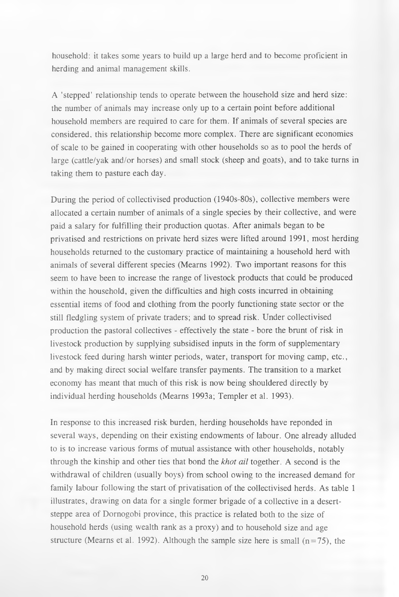household: it takes some years to build up a large herd and to become proficient in herding and animal management skills.

A 'stepped' relationship tends to operate between the household size and herd size: the number of animals may increase only up to a certain point before additional household members are required to care for them. If animals of several species are considered, this relationship become more complex. There are significant economies of scale to be gained in cooperating with other households so as to pool the herds of large (cattle/yak and/or horses) and small stock (sheep and goats), and to take turns in taking them to pasture each day.

During the period of collectivised production (1940s-80s), collective members were allocated a certain number of animals of a single species by their collective, and were paid a salary for fulfilling their production quotas. After animals began to be privatised and restrictions on private herd sizes were lifted around 1991, most herding households returned to the customary practice of maintaining a household herd with animals of several different species (Mearns 1992). Two important reasons for this seem to have been to increase the range of livestock products that could be produced within the household, given the difficulties and high costs incurred in obtaining essential items of food and clothing from the poorly functioning state sector or the still fledgling system of private traders; and to spread risk. Under collectivised production the pastoral collectives - effectively the state - bore the brunt of risk in livestock production by supplying subsidised inputs in the form of supplementary livestock feed during harsh winter periods, water, transport for moving camp, etc., and by making direct social welfare transfer payments. The transition to a market economy has meant that much of this risk is now being shouldered directly by individual herding households (Mearns 1993a; Templer et al. 1993).

In response to this increased risk burden, herding households have reponded in several ways, depending on their existing endowments of labour. One already alluded to is to increase various forms of mutual assistance with other households, notably through the kinship and other ties that bond the *khot ail* together. A second is the withdrawal of children (usually boys) from school owing to the increased demand for family labour following the start of privatisation of the collectivised herds. As table 1 illustrates, drawing on data for a single former brigade of a collective in a desertsteppe area of Dornogobi province, this practice is related both to the size of household herds (using wealth rank as a proxy) and to household size and age structure (Mearns et al. 1992). Although the sample size here is small  $(n=75)$ , the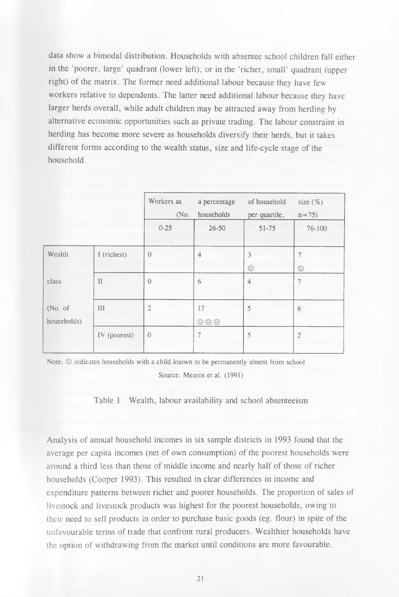data show a bimodal distribution. Households with absentee school children fall either in the 'poorer, large' quadrant (lower left), or in the 'richer, small' quadrant (upper right) of the matrix. The former need additional labour because they have few workers relative to dependents. The latter need additional labour because they have larger herds overall, while adult children may be attracted away from herding by alternative economic opportunities such as private trading. The labour constraint in herding has become more severe as households diversify their herds, but it takes different forms according to the wealth status, size and life-cycle stage of the household.

|                         |              | Workers as<br>(No.<br>$0 - 25$ | a percentage<br>households<br>$26 - 50$ | of household<br>per quartile,<br>51-75 | size $(\%)$<br>$n = 75$<br>$76 - 100$ |
|-------------------------|--------------|--------------------------------|-----------------------------------------|----------------------------------------|---------------------------------------|
| Wealth                  | I (richest)  | $\theta$                       | $\overline{4}$                          | 3<br>$\odot$                           | $\overline{7}$<br>$\odot$             |
| class                   | $\mathbf{H}$ | $\sqrt{a}$                     | 6                                       | $\overline{4}$                         | 7                                     |
| (No. of)<br>households) | III          | $\overline{2}$                 | 17<br>$\circledcirc \circledcirc$       | 5                                      | 6                                     |
|                         | IV (poorest) | $\theta$                       | $\overline{7}$                          | 5                                      | $\overline{2}$                        |

**Note: © indicates households with a child known to be permanently absent from school Source: Mearns et al. (1991)**

Table 1 Wealth, labour availability and school absenteeism

Analysis of annual household incomes in six sample districts in 1993 found that the average per capita incomes (net of own consumption) of the poorest households were around a third less than those of middle income and nearly half of those of richer households (Cooper 1993). This resulted in clear differences in income and expenditure patterns between richer and poorer households. The proportion of sales of livestock and livestock products was highest for the poorest households, owing to their need to sell products in order to purchase basic goods (eg. flour) in spite of the unfavourable terms of trade that confront rural producers. Wealthier households have the option of withdrawing from the market until conditions are more favourable.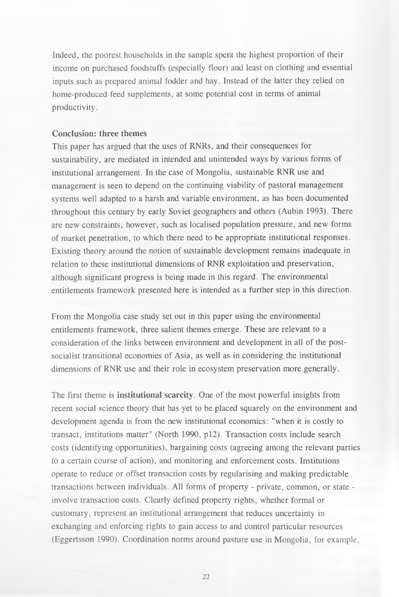Indeed, the poorest households in the sample spent the highest proportion of their income on purchased foodstuffs (especially flour) and least on clothing and essential inputs such as prepared animal fodder and hay. Instead of the latter they relied on home-produced feed supplements, at some potential cost in terms of animal productivity.

## **Conclusion: three themes**

This paper has argued that the uses of RNRs, and their consequences for sustainability, are mediated in intended and unintended ways by various forms of institutional arrangement. In the case of Mongolia, sustainable RNR use and management is seen to depend on the continuing viability of pastoral management systems well adapted to a harsh and variable environment, as has been documented throughout this century by early Soviet geographers and others (Aubin 1993). There are new constraints, however, such as localised population pressure, and new forms of market penetration, to which there need to be appropriate institutional responses. Existing theory around the notion of sustainable development remains inadequate in relation to these institutional dimensions of RNR exploitation and preservation, although significant progress is being made in this regard. The environmental entitlements framework presented here is intended as a further step in this direction.

From the Mongolia case study set out in this paper using the environmental entitlements framework, three salient themes emerge. These are relevant to a consideration of the links between environment and development in all of the postsocialist transitional economies of Asia, as well as in considering the institutional dimensions of RNR use and their role in ecosystem preservation more generally.

The first theme is **institutional scarcity.** One of the most powerful insights from recent social science theory that has yet to be placed squarely on the environment and development agenda is from the new institutional economics: "when it is costly to transact, institutions matter" (North 1990, pl2). Transaction costs include search costs (identifying opportunities), bargaining costs (agreeing among the relevant parties to a certain course of action), and monitoring and enforcement costs. Institutions operate to reduce or offset transaction costs by regularising and making predictable transactions between individuals. All forms of property - private, common, or state involve transaction costs. Clearly defined property rights, whether formal or customary, represent an institutional arrangement that reduces uncertainty in exchanging and enforcing rights to gain access to and control particular resources (Eggertsson 1990). Coordination norms around pasture use in Mongolia, for example,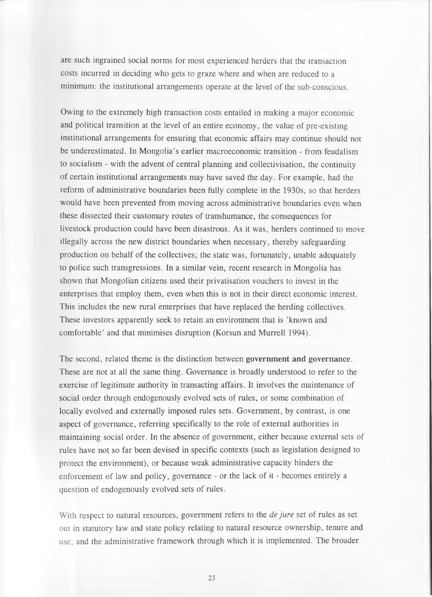are such ingrained social norms for most experienced herders that the transaction costs incurred in deciding who gets to graze where and when are reduced to a minimum: the institutional arrangements operate at the level of the sub-conscious.

Owing to the extremely high transaction costs entailed in making a major economic and political transition at the level of an entire economy, the value of pre-existing institutional arrangements for ensuring that economic affairs may continue should not be underestimated. In Mongolia's earlier macroeconomic transition - from feudalism to socialism - with the advent of central planning and collectivisation, the continuity of certain institutional arrangements may have saved the day. For example, had the reform of administrative boundaries been fully complete in the 1930s, so that herders would have been prevented from moving across administrative boundaries even when these dissected their customary routes of transhumance, the consequences for livestock production could have been disastrous. As it was, herders continued to move illegally across the new district boundaries when necessary, thereby safeguarding production on behalf of the collectives; the state was, fortunately, unable adequately to police such transgressions. In a similar vein, recent research in Mongolia has shown that Mongolian citizens used their privatisation vouchers to invest in the enterprises that employ them, even when this is not in their direct economic interest. This includes the new rural enterprises that have replaced the herding collectives. These investors apparently seek to retain an environment that is 'known and comfortable' and that minimises disruption (Korsun and Murrell 1994).

The second, related theme is the distinction between **government and governance.** These are not at all the same thing. Governance is broadly understood to refer to the exercise of legitimate authority in transacting affairs. It involves the maintenance of social order through endogenously evolved sets of rules, or some combination of locally evolved and externally imposed rules sets. Government, by contrast, is one aspect of governance, referring specifically to the role of external authorities in maintaining social order. In the absence of government, either because external sets of rules have not so far been devised in specific contexts (such as legislation designed to protect the environment), or because weak administrative capacity hinders the enforcement of law and policy, governance - or the lack of it - becomes entirely a question of endogenously evolved sets of rules.

With respect to natural resources, government refers to the *de jure* set of rules as set out in statutory law and state policy relating to natural resource ownership, tenure and use; and the administrative framework through which it is implemented. The broader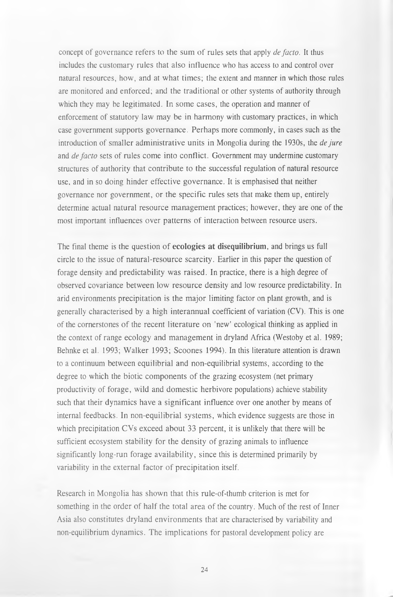concept of governance refers to the sum of rules sets that apply *de facto*. It thus includes the customary rules that also influence who has access to and control over natural resources, how, and at what times; the extent and manner in which those rules are monitored and enforced; and the traditional or other systems of authority through which they may be legitimated. In some cases, the operation and manner of enforcement of statutory law may be in harmony with customary practices, in which case government supports governance. Perhaps more commonly, in cases such as the introduction of smaller administrative units in Mongolia during the 1930s, the *de jure* and *de facto* sets of rules come into conflict. Government may undermine customary structures of authority that contribute to the successful regulation of natural resource use, and in so doing hinder effective governance. It is emphasised that neither governance nor government, or the specific rules sets that make them up, entirely determine actual natural resource management practices; however, they are one of the most important influences over patterns of interaction between resource users.

The final theme is the question of **ecologies at disequilibrium,** and brings us full circle to the issue of natural-resource scarcity. Earlier in this paper the question of forage density and predictability was raised. In practice, there is a high degree of observed covariance between low resource density and low resource predictability. In arid environments precipitation is the major limiting factor on plant growth, and is generally characterised by a high interannual coefficient of variation (CV). This is one of the cornerstones of the recent literature on 'new' ecological thinking as applied in the context of range ecology and management in dryland Africa (Westoby et al. 1989; Behnke et al. 1993; Walker 1993; Scoones 1994). In this literature attention is drawn to a continuum between equilibrial and non-equilibrial systems, according to the degree to which the biotic components of the grazing ecosystem (net primary productivity of forage, wild and domestic herbivore populations) achieve stability such that their dynamics have a significant influence over one another by means of internal feedbacks. In non-equilibrial systems, which evidence suggests are those in which precipitation CVs exceed about 33 percent, it is unlikely that there will be sufficient ecosystem stability for the density of grazing animals to influence significantly long-run forage availability, since this is determined primarily by variability in the external factor of precipitation itself.

Research in Mongolia has shown that this rule-of-thumb criterion is met for something in the order of half the total area of the country. Much of the rest of Inner Asia also constitutes dryland environments that are characterised by variability and non-equilibrium dynamics. The implications for pastoral development policy are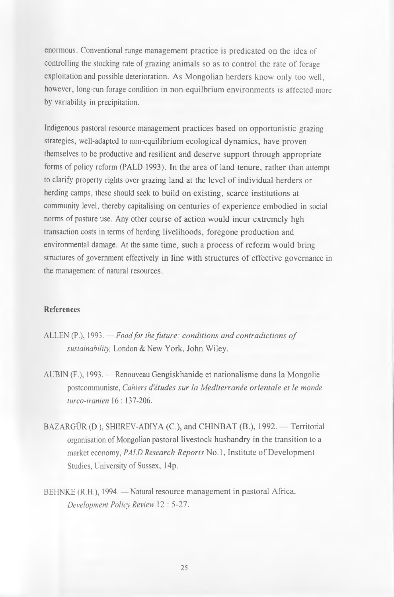enormous. Conventional range management practice is predicated on the idea of controlling the stocking rate of grazing animals so as to control the rate of forage exploitation and possible deterioration. As Mongolian herders know only too well, however, long-run forage condition in non-equilbrium environments is affected more by variability in precipitation.

Indigenous pastoral resource management practices based on opportunistic grazing strategies, well-adapted to non-equilibrium ecological dynamics, have proven themselves to be productive and resilient and deserve support through appropriate forms of policy reform (PALD 1993). In the area of land tenure, rather than attempt to clarify property rights over grazing land at the level of individual herders or herding camps, these should seek to build on existing, scarce institutions at community level, thereby capitalising on centuries of experience embodied in social norms of pasture use. Any other course of action would incur extremely hgh transaction costs in terms of herding livelihoods, foregone production and environmental damage. At the same time, such a process of reform would bring structures of government effectively in line with structures of effective governance in the management of natural resources.

#### **References**

- ALLEN (P.), 1993. *Food for the future: conditions and contradictions of sustainability,* London & New York, John Wiley.
- AUB1N (F.), 1993. Renouveau Gengiskhanide et nationalisme dans la Mongolie postcommuniste, *Cahiers d'etudes sur la Mediterranee orientale et le monde turco-iranien* 16 : 137-206.
- BAZARGÜR (D.), SHIIREV-ADIYA (C.), and CHINBAT (B.), 1992. Territorial organisation of Mongolian pastoral livestock husbandry in the transition to a market economy, *PALD Research Reports* No.1, Institute of Development Studies, University of Sussex, 14p.
- BEHNKE (R.H.), 1994. Natural resource management in pastoral Africa, *Development Policy Review* 12 : 5-27.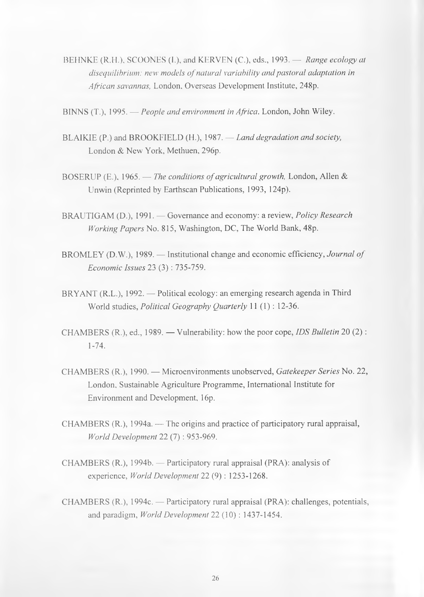BEHNKE (R.H.), SCOONES (I.), and KERVEN (C.), eds., 1993. — *Range ecology at* disequilibrium: new models of natural variability and pastoral adaptation in *African savannas,* London, Overseas Development Institute, 248p.

BINNS (T.), 1995. — *People and environment in Africa.* London, John Wiley.

- BLA1KIE (P.) and BROOKFIELD (H.), 1987. *Land degradation and society,* London & New York, Methuen, 296p.
- BOSERUP (E.), 1965. *The conditions of agricultural growth*, London, Allen & Unwin (Reprinted by Earthscan Publications, 1993, 124p).
- BRAUTIGAM (D.), 1991. Governance and economy: a review, *Policy Research Working Papers* No. 815, Washington, DC, The World Bank, 48p.
- BROMLEY (D.W.), 1989. Institutional change and economic efficiency, *Journal of Economic Issues* 23 (3) : 735-759.
- BRYANT (R.L.), 1992. Political ecology: an emerging research agenda in Third World studies, *Political Geography Quarterly* 11 (1) : 12-36.
- CHAMBERS (R.), ed., 1989. Vulnerability: how the poor cope, *IDS Bulletin* 20 (2) : 1-74.
- CHAMBERS (R.), 1990. Microenvironments unobserved, *Gatekeeper Series* No. 22, London, Sustainable Agriculture Programme, International Institute for Environment and Development, 16p.
- CHAMBERS (R.), 1994a. The origins and practice of participatory rural appraisal, *World Development* 22 (7): 953-969.
- CHAMBERS (R.), 1994b. Participatory rural appraisal (PRA): analysis of experience, *World Development 22* (9) : 1253-1268.
- CHAMBERS (R.), 1994c. Participatory rural appraisal (PRA): challenges, potentials, and paradigm, *World Development 22* (10) : 1437-1454.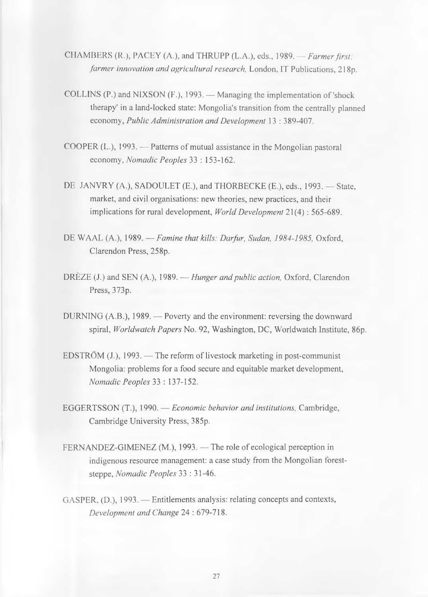- CHAMBERS (R.), PACEY (A.), and THRUPP (L.A.), eds., 1989. *Farmer first: farmer innovation and agricultural research*, London, IT Publications, 218p.
- COLLINS (P.) and NIXSON (F.), 1993. Managing the implementation of'shock therapy' in a land-locked state: Mongolia's transition from the centrally planned economy, *Public Administration and Development* 13 : 389-407.
- COOPER  $(L)$ , 1993. Patterns of mutual assistance in the Mongolian pastoral economy, *Nomadic Peoples* 33 : 153-162.
- DE JANVRY (A.), SADOULET (E.), and THORBECKE (E.), eds., 1993. State, market, and civil organisations: new theories, new practices, and their implications for rural development, *World Development* 21(4): 565-689.
- DE WAAL (A.), 1989. *Famine that kills: Darfur, Sudan, 1984-1985,* Oxford, Clarendon Press, 258p.
- DREZE (J.) and SEN (A.), 1989. *Hunger and public action,* Oxford, Clarendon Press, 373p.
- DURNING (A.B.), 1989. Poverty and the environment: reversing the downward spiral, *Worldwatch Papers* No. 92, Washington, DC, Worldwatch Institute, 86p.
- EDSTRÖM (J.), 1993. The reform of livestock marketing in post-communist Mongolia: problems for a food secure and equitable market development, *Nomadic Peoples* 33 : 137-152.
- EGGERTSSON (T.), 1990. *Economic behavior and institutions,* Cambridge, Cambridge University Press, 385p.
- FERNANDEZ-GIMENEZ (M.), 1993. The role of ecological perception in indigenous resource management: a case study from the Mongolian foreststeppe, *Nomadic Peoples* 33 : 31-46.
- GASPER, (D.), 1993. Entitlements analysis: relating concepts and contexts, *Development and Change* 24 : 679-718.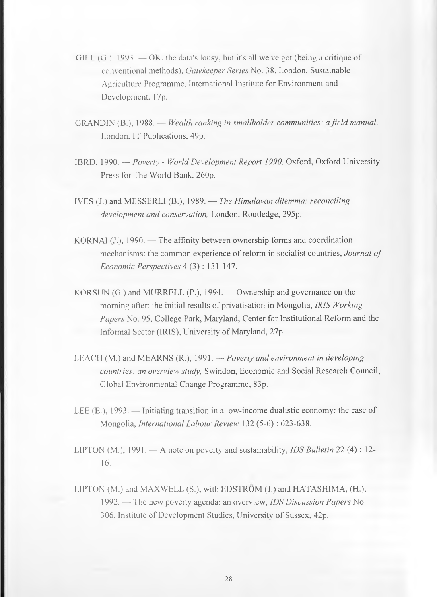- GILL  $(G<sub>i</sub>)$ , 1993. OK, the data's lousy, but it's all we've got (being a critique of conventional methods). *Gatekeeper Series* No. 38, London, Sustainable Agriculture Programme, International Institute for Environment and Development, 17p.
- GRANDIN (B.), 1988. *Wealth ranking in smallholder communities: a field manual.* London, IT Publications, 49p.
- IBRD, 1990. *Poverty World Development Report 1990,* Oxford, Oxford University Press for The World Bank, 260p.

IVES (J.) and MESSERLI (B.), 1989. — *The Himalayan dilemma: reconciling development and conservation,* London, Routledge, 295p.

- KORNAI (J.), 1990. The affinity between ownership forms and coordination mechanisms: the common experience of reform in socialist countries, Journal of *Economic Perspectives* 4 (3) : 131-147.
- KORSUN  $(G)$  and MURRELL  $(P)$ , 1994. Ownership and governance on the morning after: the initial results of privatisation in Mongolia, *IRIS Working Papers* No. 95, College Park, Maryland, Center for Institutional Reform and the Informal Sector (IRIS), University of Maryland, 27p.
- LEACH (M.) and MEARNS (R.), 1991. *Poverty and environment in developing countries: an overview study,* Swindon, Economic and Social Research Council, Global Environmental Change Programme, 83p.
- LEE (E.), 1993. Initiating transition in a low-income dualistic economy: the case of Mongolia, *International Labour Review* 132 (5-6) : 623-638.

LIPTON (M.), 1991. — A note on poverty and sustainability, *IDS Bulletin* 22 (4) : 12- $16.$ 

LIPTON (M.) and MAXWELL (S.), with EDSTROM (J.) and HATASHIMA, (H.), 1992. — The new poverty agenda: an overview, *IDS Discussion Papers* No. 306, Institute of Development Studies, University of Sussex, 42p.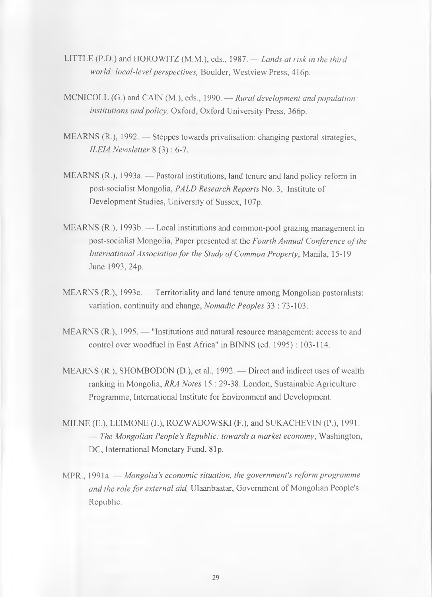- LITTLE (P.D.) and HOROWITZ (M.M.), eds., 1987. *Lands at risk in the third world: local-level perspectives,* Boulder, Westview Press, 416p.
- MCNICOLL (G.) and CAIN (M.), eds., 1990. *Rural development and population: institutions and policy,* Oxford, Oxford University Press, 366p.
- MEARNS (R.), 1992. Steppes towards privatisation: changing pastoral strategies, *ILEIA Newsletter* 8 (3): 6-7.
- MEARNS (R.), 1993a. Pastoral institutions, land tenure and land policy reform in post-socialist Mongolia, *PALD Research Reports* No. 3, Institute of Development Studies, University of Sussex, 107p.
- MEARNS (R.), 1993b. Local institutions and common-pool grazing management in post-socialist Mongolia, Paper presented at the *Fourth Annual Conference of the International Association for the Study of Common Property, Manila, 15-19* June 1993, 24p.
- MEARNS (R.), 1993c. Territoriality and land tenure among Mongolian pastoralists: variation, continuity and change, *Nomadic Peoples* 33 : 73-103.
- MEARNS (R.), 1995. "Institutions and natural resource management: access to and control overwoodfuel in East Africa" in BINNS (ed. 1995): 103-114.
- MEARNS (R.), SHOMBODON (D.), et al., 1992. Direct and indirect uses of wealth ranking in Mongolia, *RRA Notes* 15 : 29-38. London, Sustainable Agriculture Programme, International Institute for Environment and Development.
- MILNE (E.), LEIMONE (J.), ROZWADOWSKI (F.), and SUKACHEVIN (P.), 1991. — *The Mongolian People's Republic: towards a market economy,* Washington, DC, International Monetary Fund, 81p.
- MPR., 1991a. *Mongolia's economic situation, the government's reform programme and the role for external aid, Ulaanbaatar, Government of Mongolian People's* Republic.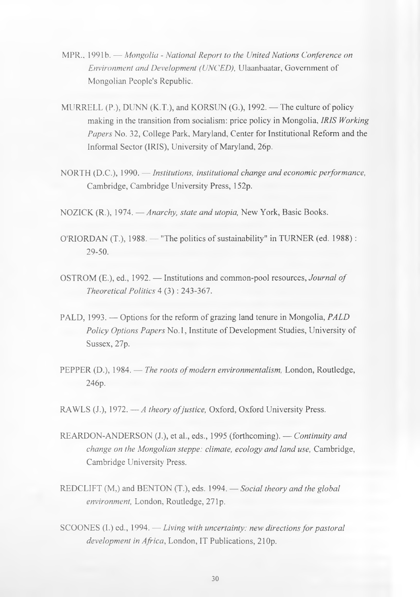- MPR., 1991b. *Mongolia National Report to the United Nations Conference on Environment and Development (UNCED),* Ulaanbaatar, Government of Mongolian People's Republic.
- MURRELL  $(P<sub>1</sub>)$ , DUNN  $(K<sub>1</sub>, T<sub>1</sub>)$ , and KORSUN  $(G<sub>2</sub>)$ , 1992. The culture of policy making in the transition from socialism: price policy in Mongolia, *IRIS Working Papers* No. 32, College Park, Maryland, Center for Institutional Reform and the Informal Sector (IRIS), University of Maryland, 26p.
- NORTH (D.C.), 1990. *Institutions, institutional change and economic performance,* Cambridge, Cambridge University Press, 152p.

NOZICK (R.), 1974. — *Anarchy, state and utopia,* New York, Basic Books.

- O'RIORDAN  $(T.)$ , 1988. "The politics of sustainability" in TURNER (ed. 1988) : 29-50.
- OSTROM (E.), ed., 1992. Institutions and common-pool resources, *Journal of Theoretical Politics* 4 (3) : 243-367.
- PALD, 1993. Options for the reform of grazing land tenure in Mongolia, *PALD Policy Options Papers* No.1, Institute of Development Studies, University of Sussex, 27p.
- PEPPER (D.), 1984. *The roots of modern environmentalism*, London, Routledge, 246p.

RAWLS (J.), 1972. — *A theory of justice*, Oxford, Oxford University Press.

- REARDON-ANDERSON (J.), et al., eds., 1995 (forthcoming). *Continuity and change on the Mongolian steppe: climate, ecology and land use,* Cambridge, Cambridge University Press.
- REDCLIFT (M,) and BENTON (T.), eds. 1994. *Social theory and the global* environment, London, Routledge, 271p.
- SCOONES (I.) ed., 1994. *Living with uncertainty: new directions for pastoral development in Africa*, London, IT Publications, 210p.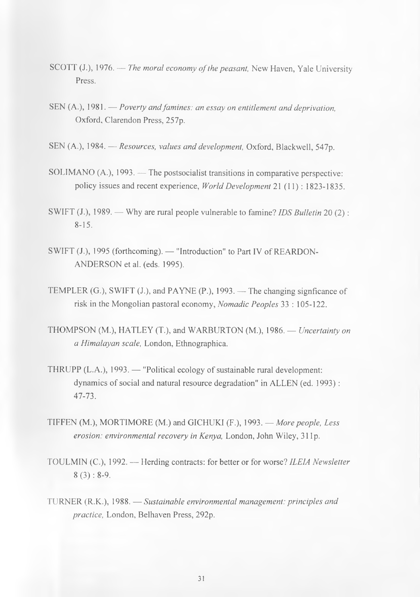- SCOTT (J.), 1976. *The moral economy of the peasant*, New Haven, Yale University Press.
- SEN (A.), 1981. *Poverty and famines: an essay on entitlement and deprivation,* Oxford, Clarendon Press, 257p.
- SEN (A.), 1984. *Resources, values and development,* Oxford, Blackwell, 547p.
- SOLIMANO (A.), 1993. The postsocialist transitions in comparative perspective: policy issues and recent experience, *World Development* 21 (1 1) : 1823-1835.
- SWIFT (J.), 1989. Why are rural people vulnerable to famine? *IDS Bulletin* 20 (2): 8-15.
- SWIFT (J.), 1995 (forthcoming). "Introduction" to Part IV of REARDON-ANDERSON et al. (eds. 1995).
- TEMPLER (G.), SWIFT (J.), and PAYNE (P.), 1993. The changing signficance of risk in the Mongolian pastoral economy, *Nomadic Peoples* 33 : 105-122.
- THOMPSON (M.), HATLEY (T.), and WARBURTON (M.), 1986. *Uncertainty on a Himalayan scale,* London, Ethnographica.
- THRUPP  $(L.A.)$ , 1993. "Political ecology of sustainable rural development: dynamics of social and natural resource degradation" in ALLEN (ed. 1993) : 47-73.
- TIFFEN (M.), MORTIMORE (M.) and GICHUKI (F.), 1993. *More people, Less erosion: environmental recovery in Kenya,* London, John Wiley, 31 lp.
- TOULMIN (C.), 1992. Herding contracts: for better or for worse? *ILEIA Newsletter*  $8(3): 8-9.$
- TURNER (R.K.), 1988. *Sustainable environmental management: principles and practice,* London, Belhaven Press, 292p.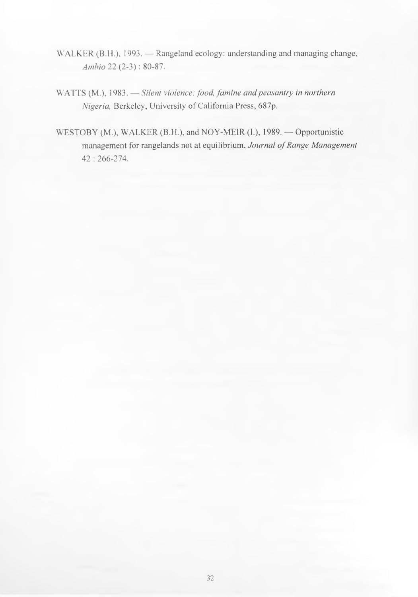- WALKER (B.H.), 1993. Rangeland ecology: understanding and managing change, *Ambio* 22 (2-3) : 80-87.
- WATTS (M.), 1983. *Silent violence: food, famine and peasantry in northern Nigeria*, Berkeley, University of California Press, 687p.
- WESTOBY (M.), WALKER (B.H.), and NOY-MEIR (I.), 1989. Opportunistic management for rangelands not at equilibrium. *Journal of Range Management* 42 : 266-274.